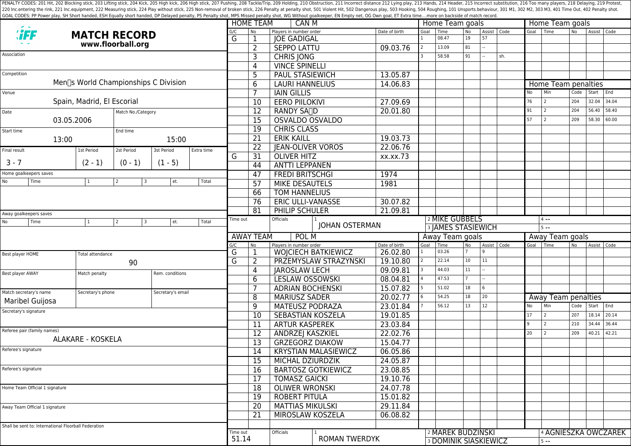PENALTY CODES: 201 Hit, 202 Blocking stick, 203 Lifting stick, 204 Kick, 204 Kick, 205 High kick, 204 Kick, 205 High kick, 206 High stick, 206 High stick, 206 High stick, 206 High stick, 207 Pushing, 208 Tackle/Trip, 209 H 220 Inc.entering the rink, 221 Inc.equipment, 222 Measuring stick, 224 Play without stick, 225 Non-removal of broken stick, 225 Poralty shot, 501 Violent Hit, 502 Dangerous play, 503 Hooking, 504 Roughing, 101 Unsports.beh GOAL CODES: PP Power play, SH Short handed, ESH Equally short handed, DP Delayed penalty, PS Penalty shot, MPS Missed penalty shot, WG Without goalkeeper, EN Empty net, OG Own goal, ET Extra time....more on backside of mat

|                                                                                  |                                                      |                                      |                                        |                          |       |                  | <b>HOME TEAM</b>       | CAN M                                             |                            |                      | Home Team goals           |                                                   |                 |                     |                 | Home Team goals                            |                            |                |               |       |  |  |
|----------------------------------------------------------------------------------|------------------------------------------------------|--------------------------------------|----------------------------------------|--------------------------|-------|------------------|------------------------|---------------------------------------------------|----------------------------|----------------------|---------------------------|---------------------------------------------------|-----------------|---------------------|-----------------|--------------------------------------------|----------------------------|----------------|---------------|-------|--|--|
|                                                                                  |                                                      | <b>MATCH RECORD</b>                  |                                        |                          |       |                  | No                     | Players in number order<br><b>JOE GADIGAL</b>     |                            | Date of birth        | Goal<br>$\mathbf{1}$      | Time<br>08.47                                     | <b>No</b><br>19 | Assist   Code<br>57 |                 | Goal                                       | Time                       | N <sub>o</sub> | Assist   Code |       |  |  |
| www.floorball.org                                                                |                                                      |                                      |                                        |                          | G     | $\overline{2}$   | <b>SEPPO LATTU</b>     |                                                   | 09.03.76                   | $\overline{2}$       | 13.09                     | 81                                                |                 |                     |                 |                                            |                            |                |               |       |  |  |
| Association                                                                      |                                                      |                                      |                                        |                          |       |                  | 3                      | <b>CHRIS JONG</b>                                 |                            |                      |                           | 58.58                                             | 91              |                     | sh.             |                                            |                            |                |               |       |  |  |
|                                                                                  |                                                      |                                      |                                        |                          |       |                  | 4                      | <b>VINCE SPINELLI</b>                             |                            |                      |                           |                                                   |                 |                     |                 |                                            |                            |                |               |       |  |  |
| Competition                                                                      |                                                      |                                      |                                        |                          |       |                  | 5                      | PAUL STASIEWICH                                   |                            | 13.05.87             |                           |                                                   |                 |                     |                 |                                            |                            |                |               |       |  |  |
|                                                                                  |                                                      | Men∏s World Championships C Division |                                        |                          |       |                  | 6                      | <b>LAURI HANNELIUS</b>                            |                            | 14.06.83             |                           |                                                   |                 |                     |                 |                                            | Home Team penalties        |                |               |       |  |  |
| Venue                                                                            |                                                      |                                      |                                        |                          |       |                  |                        | <b>IAIN GILLIS</b>                                |                            |                      |                           |                                                   |                 |                     |                 | No                                         | Min                        | Code           | Start         | End   |  |  |
| Spain, Madrid, El Escorial                                                       |                                                      |                                      |                                        |                          |       |                  | $\overline{10}$        | <b>EERO PIILOKIVI</b>                             |                            | 27.09.69             |                           |                                                   |                 |                     |                 | 76                                         | 2                          | 204            | 32.04         | 34.04 |  |  |
| Date<br>Match No./Category                                                       |                                                      |                                      |                                        |                          |       |                  | $\overline{12}$        | RANDY SA <sub>I</sub> D                           |                            | 20.01.80             |                           |                                                   |                 |                     |                 | 91                                         | 2                          | 204            | 56.40         | 58.40 |  |  |
| 03.05.2006                                                                       |                                                      |                                      |                                        |                          |       | 15               | <b>OSVALDO OSVALDO</b> |                                                   |                            |                      |                           |                                                   |                 |                     | 57              | $\overline{z}$                             | 209                        | 58.30          | 60.00         |       |  |  |
| End time<br>Start time                                                           |                                                      |                                      |                                        |                          |       | 19               | <b>CHRIS CLASS</b>     |                                                   |                            |                      |                           |                                                   |                 |                     |                 |                                            |                            |                |               |       |  |  |
| 13:00<br>15:00                                                                   |                                                      |                                      |                                        |                          |       | 21               | <b>ERIK KAILL</b>      | 19.03.73                                          |                            |                      |                           |                                                   |                 |                     |                 |                                            |                            |                |               |       |  |  |
| Final result                                                                     |                                                      | 1st Period                           | 2st Period                             | 3st Period<br>Extra time |       |                  | $\overline{22}$<br>31  | <b>JEAN-OLIVER VOROS</b>                          |                            | 22.06.76             |                           |                                                   |                 |                     |                 |                                            |                            |                |               |       |  |  |
|                                                                                  |                                                      |                                      |                                        |                          |       | G                |                        | <b>OLIVER HITZ</b>                                |                            | xx.xx.73             |                           |                                                   |                 |                     |                 |                                            |                            |                |               |       |  |  |
| $3 - 7$                                                                          |                                                      | $(2 - 1)$                            | $(0 - 1)$                              | $(1 - 5)$                |       |                  | 44                     | <b>ANTTI LEPPANEN</b>                             |                            |                      |                           |                                                   |                 |                     |                 |                                            |                            |                |               |       |  |  |
| Home goalkeepers saves                                                           |                                                      |                                      |                                        |                          |       |                  | 47                     | <b>FREDI BRITSCHGI</b>                            | 1974                       |                      |                           |                                                   |                 |                     |                 |                                            |                            |                |               |       |  |  |
| No                                                                               | Time                                                 | 1                                    | 3<br>2                                 | et.                      | Total |                  | 57                     | <b>MIKE DESAUTELS</b>                             |                            | 1981                 |                           |                                                   |                 |                     |                 |                                            |                            |                |               |       |  |  |
|                                                                                  |                                                      |                                      |                                        |                          |       |                  | 66                     | <b>TOM HANNELIUS</b>                              |                            |                      |                           |                                                   |                 |                     |                 |                                            |                            |                |               |       |  |  |
|                                                                                  |                                                      |                                      |                                        |                          |       |                  | 76                     | <b>ERIC ULLI-VANASSE</b>                          |                            | 30.07.82             |                           |                                                   |                 |                     |                 |                                            |                            |                |               |       |  |  |
|                                                                                  |                                                      |                                      |                                        |                          |       |                  | 81                     | PHILIP SCHULER                                    | 21.09.81                   |                      |                           |                                                   |                 |                     |                 |                                            |                            |                |               |       |  |  |
| Away goalkeepers saves<br>Time<br>l 3<br>et.<br>Total<br>No<br>$\mathbf{1}$<br>2 |                                                      |                                      |                                        | Time out                 |       | Officials        |                        |                                                   | <sup>2</sup> MIKE GUBBELS  |                      |                           |                                                   |                 | $4 -$               |                 |                                            |                            |                |               |       |  |  |
|                                                                                  |                                                      |                                      |                                        |                          |       |                  |                        | <b>JOHAN OSTERMAN</b>                             |                            |                      | <b>3 JAMES STASIEWICH</b> |                                                   |                 |                     |                 |                                            | $5 - -$                    |                |               |       |  |  |
|                                                                                  |                                                      |                                      |                                        |                          |       |                  | <b>AWAY TEAM</b>       | POL M                                             |                            |                      | Away Team goals           |                                                   |                 |                     | Away Team goals |                                            |                            |                |               |       |  |  |
|                                                                                  |                                                      |                                      |                                        |                          |       | G/C<br>G         | No<br>$\mathbf 1$      | Players in number order                           |                            | Date of birth        | Goal                      | Time                                              | No              | Assist   Code       |                 | Goal                                       | Time                       | <b>No</b>      | Assist Code   |       |  |  |
| Best player HOME                                                                 |                                                      |                                      | Total attendance                       |                          |       |                  |                        |                                                   | <b>WOJCIECH BATKIEWICZ</b> | 26.02.80             | $\mathbf{1}$              | 03.26                                             | 10              |                     |                 |                                            |                            |                |               |       |  |  |
|                                                                                  |                                                      | 90                                   |                                        |                          |       |                  | $\overline{2}$         |                                                   | PRZEMYSLAW STRAZYNSKI      | 19.10.80             |                           | 22.14                                             |                 | 11                  |                 |                                            |                            |                |               |       |  |  |
| Best player AWAY                                                                 |                                                      | Rem. conditions<br>Match penalty     |                                        |                          |       | 4                | <b>JAROSLAW LECH</b>   |                                                   | 09.09.81                   |                      | 44.03                     | 11                                                |                 |                     |                 |                                            |                            |                |               |       |  |  |
|                                                                                  |                                                      |                                      |                                        |                          |       |                  | 6                      | <b>LESLAW OSSOWSKI</b>                            |                            | 08.04.81             |                           | 47.53                                             |                 |                     |                 |                                            |                            |                |               |       |  |  |
| Match secretary's name                                                           |                                                      |                                      | Secretary's email<br>Secretary's phone |                          |       |                  |                        | <b>ADRIAN BOCHENSKI</b>                           |                            | 15.07.82             |                           | 51.02                                             | 18              | 6                   |                 |                                            |                            |                |               |       |  |  |
| <b>Maribel Guijosa</b>                                                           |                                                      |                                      |                                        |                          |       |                  | 8                      | <b>MARIUSZ SADER</b>                              |                            | 20.02.77             |                           | 54.25                                             | 18<br>13        | 20                  |                 | No                                         | Away Team penalties<br>Min |                |               | End   |  |  |
| Secretary's signature                                                            |                                                      |                                      |                                        |                          |       | 9                | <b>MATEUSZ PODRAZA</b> |                                                   | 23.01.84                   |                      | 56.12                     |                                                   | 12              |                     | 17              | 2                                          | Code<br>207                | Start<br>18.14 | 20.14         |       |  |  |
|                                                                                  |                                                      |                                      |                                        |                          |       |                  | $\overline{10}$        | <b>SEBASTIAN KOSZELA</b>                          |                            | 19.01.85             |                           |                                                   |                 |                     |                 | $\overline{9}$                             | $\overline{z}$             | 210            | 34.44         | 36.44 |  |  |
|                                                                                  | Referee pair (family names)                          |                                      |                                        |                          |       |                  | 11                     | <b>ARTUR KASPEREK</b>                             |                            | 23.03.84             |                           |                                                   |                 |                     |                 | 20                                         | $\overline{z}$             | 209            | 40.21         | 42.21 |  |  |
| <b>ALAKARE - KOSKELA</b>                                                         |                                                      |                                      |                                        |                          |       |                  | 12<br>13               | ANDRZEJ KASZKIEL                                  |                            | 22.02.76<br>15.04.77 |                           |                                                   |                 |                     |                 |                                            |                            |                |               |       |  |  |
| Referee's signature                                                              |                                                      |                                      |                                        |                          |       |                  | 14                     | <b>GRZEGORZ DIAKOW</b>                            |                            |                      |                           |                                                   |                 |                     |                 |                                            |                            |                |               |       |  |  |
|                                                                                  |                                                      |                                      |                                        |                          |       |                  |                        | <b>KRYSTIAN MALASIEWICZ</b>                       |                            | 06.05.86<br>24.05.87 |                           |                                                   |                 |                     |                 |                                            |                            |                |               |       |  |  |
| Referee's signature                                                              |                                                      |                                      |                                        |                          |       |                  | 15                     | MICHAL DZIURDZIK                                  |                            | 23.08.85             |                           |                                                   |                 |                     |                 |                                            |                            |                |               |       |  |  |
|                                                                                  |                                                      |                                      |                                        |                          |       |                  | 16                     | <b>BARTOSZ GOTKIEWICZ</b><br><b>TOMASZ GAICKI</b> |                            | 19.10.76             |                           |                                                   |                 |                     |                 |                                            |                            |                |               |       |  |  |
| Home Team Official 1 signature                                                   |                                                      |                                      |                                        |                          |       |                  | 17<br>18               |                                                   |                            | 24.07.78             |                           |                                                   |                 |                     |                 |                                            |                            |                |               |       |  |  |
|                                                                                  |                                                      |                                      |                                        |                          |       |                  | $\overline{19}$        | <b>OLIWER WRONSKI</b><br><b>ROBERT PITULA</b>     |                            | 15.01.82             |                           |                                                   |                 |                     |                 |                                            |                            |                |               |       |  |  |
|                                                                                  |                                                      |                                      |                                        |                          |       |                  | $\overline{20}$        | <b>MATTIAS MIKULSKI</b>                           |                            | 29.11.84             |                           |                                                   |                 |                     |                 |                                            |                            |                |               |       |  |  |
| Away Team Official 1 signature                                                   |                                                      |                                      |                                        |                          | 21    | MIROSLAW KOSZELA |                        | 06.08.82                                          |                            |                      |                           |                                                   |                 |                     |                 |                                            |                            |                |               |       |  |  |
|                                                                                  |                                                      |                                      |                                        |                          |       |                  |                        |                                                   |                            |                      |                           |                                                   |                 |                     |                 |                                            |                            |                |               |       |  |  |
|                                                                                  | Shall be sent to: International Floorball Federation |                                      |                                        |                          |       | Time out         |                        | Officials                                         |                            |                      |                           |                                                   |                 |                     |                 |                                            |                            |                |               |       |  |  |
|                                                                                  |                                                      |                                      |                                        |                          |       | 51.14            |                        |                                                   | <b>ROMAN TWERDYK</b>       |                      |                           | 2 MAREK BUDZINSKI<br><b>3 DOMINIK SIASKIEWICZ</b> |                 |                     |                 | <sup>4</sup> AGNIESZKA OWCZAREK<br>$5 - -$ |                            |                |               |       |  |  |
|                                                                                  |                                                      |                                      |                                        |                          |       |                  |                        |                                                   |                            |                      |                           |                                                   |                 |                     |                 |                                            |                            |                |               |       |  |  |